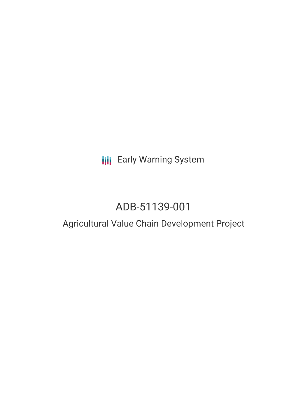## **III** Early Warning System

# ADB-51139-001

## Agricultural Value Chain Development Project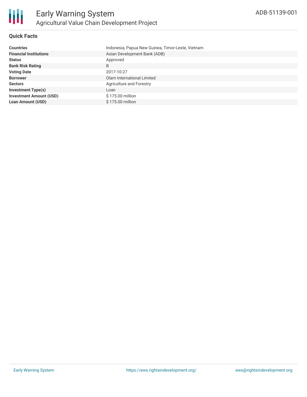

## **Quick Facts**

| <b>Countries</b>               | Indonesia, Papua New Guinea, Timor-Leste, Vietnam |
|--------------------------------|---------------------------------------------------|
| <b>Financial Institutions</b>  | Asian Development Bank (ADB)                      |
| <b>Status</b>                  | Approved                                          |
| <b>Bank Risk Rating</b>        | B                                                 |
| <b>Voting Date</b>             | 2017-10-27                                        |
| <b>Borrower</b>                | Olam International Limited                        |
| <b>Sectors</b>                 | Agriculture and Forestry                          |
| <b>Investment Type(s)</b>      | Loan                                              |
| <b>Investment Amount (USD)</b> | \$175.00 million                                  |
| <b>Loan Amount (USD)</b>       | \$175.00 million                                  |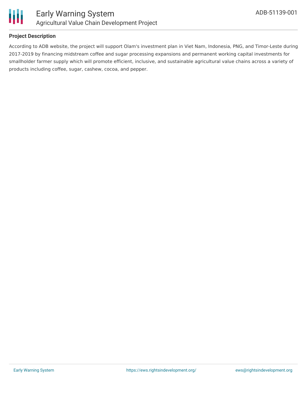

### **Project Description**

According to ADB website, the project will support Olam's investment plan in Viet Nam, Indonesia, PNG, and Timor-Leste during 2017-2019 by financing midstream coffee and sugar processing expansions and permanent working capital investments for smallholder farmer supply which will promote efficient, inclusive, and sustainable agricultural value chains across a variety of products including coffee, sugar, cashew, cocoa, and pepper.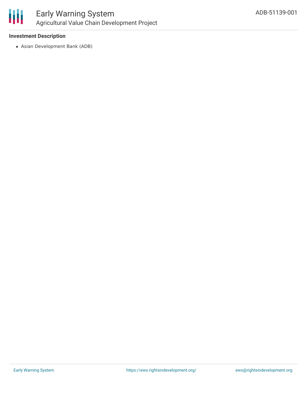

#### **Investment Description**

Asian Development Bank (ADB)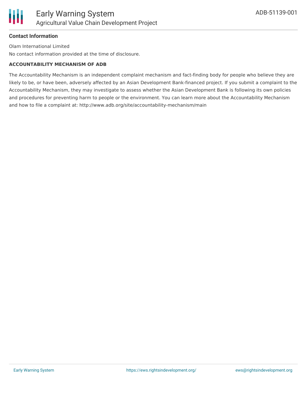## **Contact Information**

Olam International Limited No contact information provided at the time of disclosure.

## **ACCOUNTABILITY MECHANISM OF ADB**

The Accountability Mechanism is an independent complaint mechanism and fact-finding body for people who believe they are likely to be, or have been, adversely affected by an Asian Development Bank-financed project. If you submit a complaint to the Accountability Mechanism, they may investigate to assess whether the Asian Development Bank is following its own policies and procedures for preventing harm to people or the environment. You can learn more about the Accountability Mechanism and how to file a complaint at: http://www.adb.org/site/accountability-mechanism/main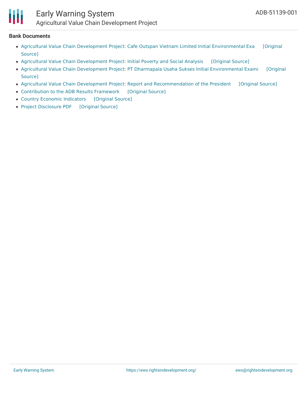

## Early Warning System Agricultural Value Chain Development Project

#### **Bank Documents**

- Agricultural Value Chain Development Project: Cafe Outspan Vietnam Limited Initial [Environmental](https://ewsdata.rightsindevelopment.org/files/documents/01/ADB-51139-001_1Go8SrL.pdf) Exa [Original Source]
- Agricultural Value Chain [Development](https://ewsdata.rightsindevelopment.org/files/documents/01/ADB-51139-001_7Qk8R1t.pdf) Project: Initial Poverty and Social Analysis [\[Original](https://www.adb.org/projects/documents/reg-51139-001-ipsa) Source]
- Agricultural Value Chain Development Project: PT Dharmapala Usaha Sukses Initial [Environmental](https://www.adb.org/projects/documents/vie-51139-001-iee-0) Exami [Original Source]
- Agricultural Value Chain Development Project: Report and [Recommendation](https://ewsdata.rightsindevelopment.org/files/documents/01/ADB-51139-001_v1Do3mr.pdf) of the President [\[Original](https://www.adb.org/projects/documents/reg-51139-001-rrp) Source]
- [Contribution](https://ewsdata.rightsindevelopment.org/files/documents/01/ADB-51139-001_kWxftpA.pdf) to the ADB Results Framework [\[Original](https://www.adb.org/projects/documents/reg-51139-001-rrp) Source]
- Country Economic [Indicators](https://ewsdata.rightsindevelopment.org/files/documents/01/ADB-51139-001_9xrV7xC.pdf) [\[Original](https://www.adb.org/projects/documents/reg-51139-001-rrp) Source]
- Project [Disclosure](https://ewsdata.rightsindevelopment.org/files/documents/01/ADB-51139-001.pdf) PDF [\[Original](https://www.adb.org/printpdf/projects/51139-001/main) Source]